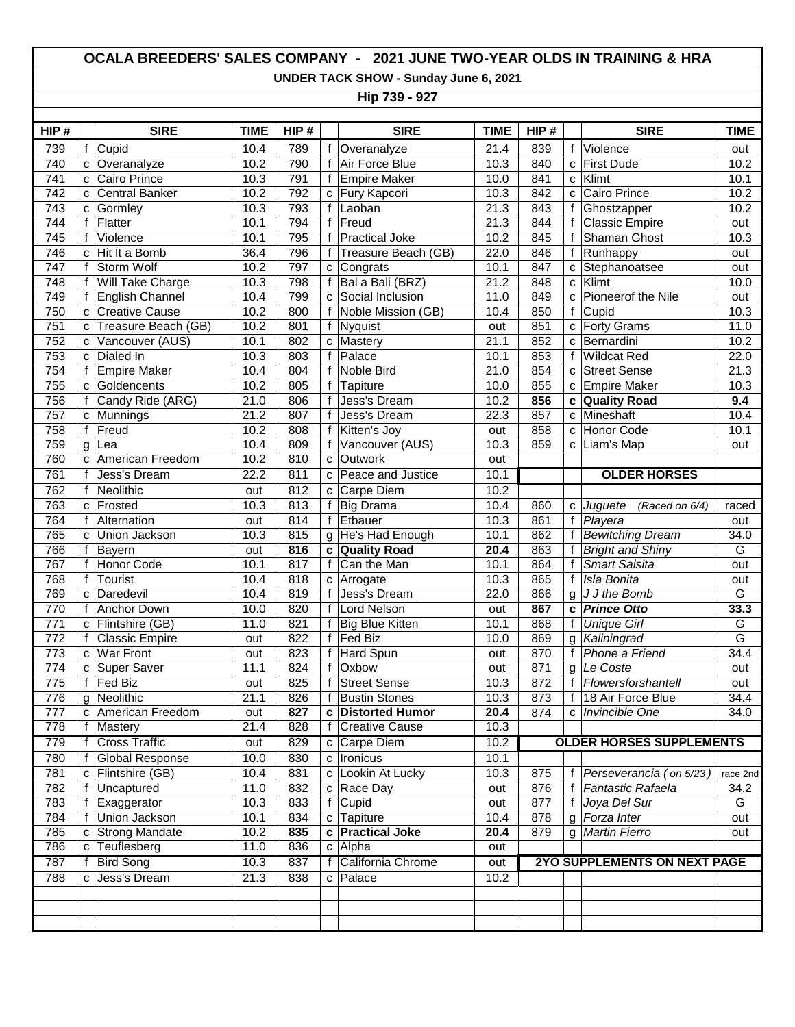## **OCALA BREEDERS' SALES COMPANY - 2021 JUNE TWO-YEAR OLDS IN TRAINING & HRA**

**UNDER TACK SHOW - Sunday June 6, 2021**

**Hip 739 - 927**

| HIP#             |                | <b>SIRE</b>           | <b>TIME</b> | HIP# |                | <b>SIRE</b>            | <b>TIME</b> | HIP# |              | <b>SIRE</b>                         | <b>TIME</b>    |
|------------------|----------------|-----------------------|-------------|------|----------------|------------------------|-------------|------|--------------|-------------------------------------|----------------|
| 739              | f              | Cupid                 | 10.4        | 789  | $\mathsf f$    | Overanalyze            | 21.4        | 839  | $\mathsf{f}$ | Violence                            | out            |
| 740              | $\mathbf{C}$   | Overanalyze           | 10.2        | 790  | $\mathsf{f}$   | Air Force Blue         | 10.3        | 840  | $\mathbf{C}$ | <b>First Dude</b>                   | 10.2           |
| 741              | C              | Cairo Prince          | 10.3        | 791  | f              | <b>Empire Maker</b>    | 10.0        | 841  | C            | Klimt                               | 10.1           |
| 742              | C              | <b>Central Banker</b> | 10.2        | 792  |                | c Fury Kapcori         | 10.3        | 842  | C            | <b>Cairo Prince</b>                 | 10.2           |
| 743              | $\mathbf{C}$   | Gormley               | 10.3        | 793  | $\mathsf{f}$   | Laoban                 | 21.3        | 843  | f            | Ghostzapper                         | 10.2           |
| 744              | f              | Flatter               | 10.1        | 794  | $\mathsf f$    | Freud                  | 21.3        | 844  | f            | <b>Classic Empire</b>               | out            |
| 745              | $\mathsf f$    | Violence              | 10.1        | 795  | $\mathbf f$    | <b>Practical Joke</b>  | 10.2        | 845  | $\mathsf{f}$ | Shaman Ghost                        | 10.3           |
| 746              | $\mathbf{C}$   | Hit It a Bomb         | 36.4        | 796  | f              | Treasure Beach (GB)    | 22.0        | 846  | f            | Runhappy                            | out            |
| 747              | $\mathsf{f}$   | <b>Storm Wolf</b>     | 10.2        | 797  | c              | Congrats               | 10.1        | 847  | C            | Stephanoatsee                       | out            |
| 748              | f              | Will Take Charge      | 10.3        | 798  | f              | Bal a Bali (BRZ)       | 21.2        | 848  | C            | Klimt                               | 10.0           |
| 749              | f              | English Channel       | 10.4        | 799  | C              | Social Inclusion       | 11.0        | 849  | C            | Pioneerof the Nile                  | out            |
| 750              | C              | Creative Cause        | 10.2        | 800  | f              | Noble Mission (GB)     | 10.4        | 850  | f            | Cupid                               | 10.3           |
| $\overline{751}$ | $\mathbf{C}$   | Treasure Beach (GB)   | 10.2        | 801  | $\mathsf{f}$   | <b>Nyquist</b>         | out         | 851  | C            | Forty Grams                         | 11.0           |
| 752              | C              | Vancouver (AUS)       | 10.1        | 802  | C              | Mastery                | 21.1        | 852  | C            | Bernardini                          | 10.2           |
| 753              | C              | Dialed In             | 10.3        | 803  | $\mathsf{f}$   | Palace                 | 10.1        | 853  | $\mathbf{f}$ | <b>Wildcat Red</b>                  | 22.0           |
| 754              | f              | <b>Empire Maker</b>   | 10.4        | 804  | f              | Noble Bird             | 21.0        | 854  | C            | <b>Street Sense</b>                 | 21.3           |
| 755              | C              | Goldencents           | 10.2        | 805  | f              | Tapiture               | 10.0        | 855  | C            | Empire Maker                        | 10.3           |
| 756              | f              | Candy Ride (ARG)      | 21.0        | 806  | $\mathsf f$    | <b>Jess's Dream</b>    | 10.2        | 856  | C            | <b>Quality Road</b>                 | 9.4            |
| 757              | $\mathbf{C}$   | Munnings              | 21.2        | 807  | $\mathsf{f}$   | Jess's Dream           | 22.3        | 857  | $\mathbf{C}$ | Mineshaft                           | 10.4           |
| 758              | $\mathsf{f}$   | Freud                 | 10.2        | 808  | $\mathsf{f}$   | Kitten's Joy           | out         | 858  | C            | Honor Code                          | 10.1           |
| 759              | $\mathsf{g}$   | Lea                   | 10.4        | 809  | f              | Vancouver (AUS)        | 10.3        | 859  | C            | Liam's Map                          | out            |
| 760              | C              | American Freedom      | 10.2        | 810  | C              | Outwork                | out         |      |              |                                     |                |
| 761              | f              | Jess's Dream          | 22.2        | 811  | C              | Peace and Justice      | 10.1        |      |              | <b>OLDER HORSES</b>                 |                |
| 762              | f              | Neolithic             | out         | 812  | C              | Carpe Diem             | 10.2        |      |              |                                     |                |
| 763              | C              | Frosted               | 10.3        | 813  | $\overline{f}$ | <b>Big Drama</b>       | 10.4        | 860  | $\mathbf{C}$ | Juguete<br>(Raced on 6/4)           | raced          |
| 764              | f              | Alternation           | out         | 814  | f              | Etbauer                | 10.3        | 861  | f            | Playera                             | out            |
| 765              | C              | Union Jackson         | 10.3        | 815  | g              | He's Had Enough        | 10.1        | 862  | $\mathsf{f}$ | <b>Bewitching Dream</b>             | 34.0           |
| 766              | f              | Bayern                | out         | 816  | $\mathbf c$    | <b>Quality Road</b>    | 20.4        | 863  | $\mathsf{f}$ | <b>Bright and Shiny</b>             | G              |
| 767              | f              | <b>Honor Code</b>     | 10.1        | 817  | $\mathsf{f}$   | Can the Man            | 10.1        | 864  | $\mathsf{f}$ | <b>Smart Salsita</b>                | out            |
| 768              | f              | Tourist               | 10.4        | 818  | c              | Arrogate               | 10.3        | 865  | f            | Isla Bonita                         | out            |
| 769              | C              | Daredevil             | 10.4        | 819  | f              | Jess's Dream           | 22.0        | 866  | g            | J J the Bomb                        | G              |
| 770              | f              | Anchor Down           | 10.0        | 820  | f              | Lord Nelson            | out         | 867  | C            | <b>Prince Otto</b>                  | 33.3           |
| $\overline{771}$ | $\mathbf{C}$   | Flintshire (GB)       | 11.0        | 821  | f              | <b>Big Blue Kitten</b> | 10.1        | 868  | $\mathbf f$  | <b>Unique Girl</b>                  | G              |
| 772              | f              | <b>Classic Empire</b> | out         | 822  | f              | Fed Biz                | 10.0        | 869  | g            | Kaliningrad                         | $\overline{G}$ |
| 773              | $\mathbf{C}$   | <b>War Front</b>      | out         | 823  | $\mathsf{f}$   | Hard Spun              | out         | 870  | $\mathbf f$  | Phone a Friend                      | 34.4           |
| 774              | $\mathbf{C}$   | <b>Super Saver</b>    | 11.1        | 824  | $\mathbf f$    | Oxbow                  | out         | 871  | g            | Le Coste                            | out            |
| $\overline{775}$ | $\overline{f}$ | Fed Biz               | out         | 825  | $\mathsf{f}$   | <b>Street Sense</b>    | 10.3        | 872  | f            | Flowersforshantell                  | out            |
| 776              |                | g Neolithic           | 21.1        | 826  | f              | <b>Bustin Stones</b>   | 10.3        | 873  |              | f   18 Air Force Blue               | 34.4           |
| 777              | C              | American Freedom      | out         | 827  | c              | <b>Distorted Humor</b> | 20.4        | 874  | C            | Invincible One                      | 34.0           |
| $\overline{778}$ | f              | Mastery               | 21.4        | 828  | f              | <b>Creative Cause</b>  | 10.3        |      |              |                                     |                |
| 779              | f              | <b>Cross Traffic</b>  | out         | 829  | c              | <b>Carpe Diem</b>      | 10.2        |      |              | <b>OLDER HORSES SUPPLEMENTS</b>     |                |
| 780              | f              | Global Response       | 10.0        | 830  | c              | Ironicus               | 10.1        |      |              |                                     |                |
| 781              | $\mathbf{C}$   | Flintshire (GB)       | 10.4        | 831  | C              | Lookin At Lucky        | 10.3        | 875  | f            | Perseverancia (on 5/23)             | race 2nd       |
| 782              | f              | Uncaptured            | 11.0        | 832  | c              | Race Day               | out         | 876  | f            | Fantastic Rafaela                   | 34.2           |
| 783              | f              | Exaggerator           | 10.3        | 833  | f              | Cupid                  | out         | 877  | f            | Joya Del Sur                        | G              |
| 784              | f              | Union Jackson         | 10.1        | 834  | c              | Tapiture               | 10.4        | 878  | g            | Forza Inter                         | out            |
| 785              | C              | <b>Strong Mandate</b> | 10.2        | 835  | c              | <b>Practical Joke</b>  | 20.4        | 879  | a            | Martin Fierro                       | out            |
| 786              | с              | Teuflesberg           | 11.0        | 836  | c              | Alpha                  | out         |      |              |                                     |                |
| 787              | f              | <b>Bird Song</b>      | 10.3        | 837  | f              | California Chrome      | out         |      |              | <b>2YO SUPPLEMENTS ON NEXT PAGE</b> |                |
| 788              | C              | Jess's Dream          | 21.3        | 838  | C              | Palace                 | 10.2        |      |              |                                     |                |
|                  |                |                       |             |      |                |                        |             |      |              |                                     |                |
|                  |                |                       |             |      |                |                        |             |      |              |                                     |                |
|                  |                |                       |             |      |                |                        |             |      |              |                                     |                |
|                  |                |                       |             |      |                |                        |             |      |              |                                     |                |